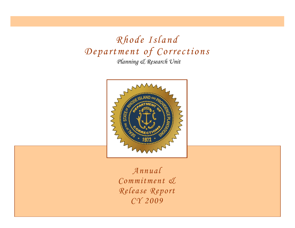*Planning & Research Unit Rhode Island Department of Corrections*



*Annual Commitment & Release Report CY 2009*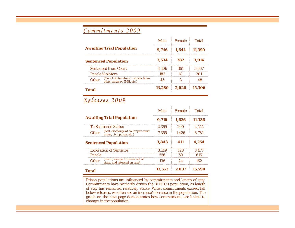# *Commitments 2009*

|                                                                         |       | Male Female  | Total  |
|-------------------------------------------------------------------------|-------|--------------|--------|
| <b>Awaiting Trial Population</b>                                        | 9.746 | - 1.644      | 11.390 |
| <b>Sentenced Population</b>                                             | 3,534 | 382          | 3.916  |
| <b>Sentenced from Court</b>                                             | 3.306 | 361          | 3.667  |
| <b>Parole Violators</b>                                                 | 183   |              |        |
| Other (Out of State return, transfer from<br>other states or IMH, etc.) | 45    |              |        |
| Total                                                                   |       | 13.280 2.026 | 15.306 |

## *Releases 2009*

|                                                                                  | Male   | Female | Total  |
|----------------------------------------------------------------------------------|--------|--------|--------|
| <b>Awaiting Trial Population</b>                                                 | 9.710  | 1.626  | 11.336 |
| <b>To Sentenced Status</b>                                                       | 2.355  | 200    | 2.555  |
| (bail, discharge at court/per court<br><b>Other</b><br>order, civil purge, etc.) | 7.355  | 1.426  | 8.781  |
| <b>Sentenced Population</b>                                                      | 3,843  | 411    | 4.254  |
| <b>Expiration of Sentence</b>                                                    | 3.149  | 328    | 3,477  |
| Parole                                                                           | 556    | 59     | 615    |
| (death, escape, transfer out of<br>state, and released on case)<br><b>Other</b>  | 138    | 24     | 162    |
| Total                                                                            | 13.553 | 2.037  | 15.590 |

Prison populations are influenced by commitments and length of stay. Commitments have primarily driven the RIDOC's population, as length of stay has remained relatively stable. When commitments exceed/fall below releases, we often see an increase/decrease in the population. The graph on the next page demonstrates how commitments are linked to changes in the population.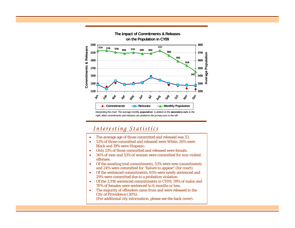

Interpreting the chart: The average monthly *population* is plotted on the *secondary axis to the right, while commitments and releases are plotted on the primary axis to the left.*

### *Interesting Statistics*

- •The average age of those committed and released was 33.
- • 53% of those committed and released were White, 26% were Black and 19% were Hispanic.
- •Only 13% of those committed and released were female.
- • 36% of men and 53% of women were committed for non-violent offenses.
- • Of the awaiting trial commitments, 53% were new commitments and 24% were committed for "failure to appear" (for court).
- • Of the sentenced commitments, 65% were newly sentenced and 29% were committed due to a probation violation.
- • Of the 3,916 sentenced commitments in CY09, 59% of males and 70% of females were sentenced to 6-months or less.
- • The majority of offenders came from and were released to the City of Providence (30%).
	- (For additional city information, please see the back cover).